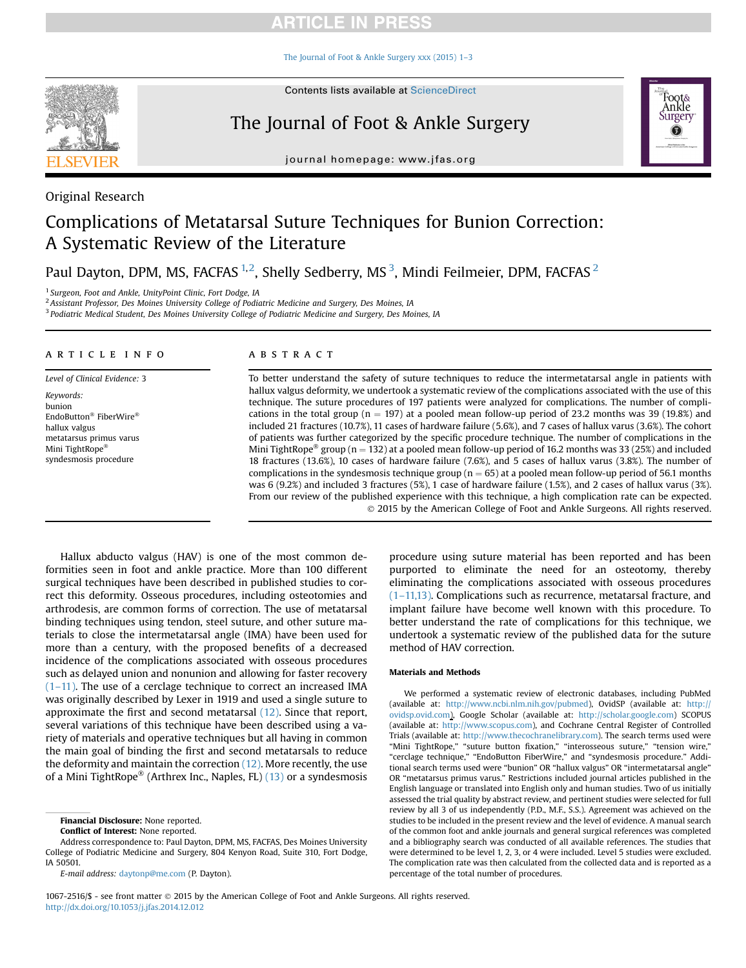# **ARTICLE IN PRESS**

[The Journal of Foot & Ankle Surgery xxx \(2015\) 1](http://dx.doi.org/10.1053/j.jfas.2014.12.012)–3



Original Research

**Contents lists available at ScienceDirect** 

# The Journal of Foot & Ankle Surgery



journal homepage: [www.jfas.org](http://www.jfas.org)

# Complications of Metatarsal Suture Techniques for Bunion Correction: A Systematic Review of the Literature

Paul Dayton, DPM, MS, FACFAS  $^{1,2}$ , Shelly Sedberry, MS  $^3$ , Mindi Feilmeier, DPM, FACFAS  $^2$ 

<sup>1</sup> Surgeon, Foot and Ankle, UnityPoint Clinic, Fort Dodge, IA

<sup>2</sup> Assistant Professor, Des Moines University College of Podiatric Medicine and Surgery, Des Moines, IA

<sup>3</sup> Podiatric Medical Student, Des Moines University College of Podiatric Medicine and Surgery, Des Moines, IA

## article info

Level of Clinical Evidence: 3 Keywords: bunion EndoButton<sup>®</sup> FiberWire® hallux valgus metatarsus primus varus Mini TightRope syndesmosis procedure

## ABSTRACT

To better understand the safety of suture techniques to reduce the intermetatarsal angle in patients with hallux valgus deformity, we undertook a systematic review of the complications associated with the use of this technique. The suture procedures of 197 patients were analyzed for complications. The number of complications in the total group ( $n = 197$ ) at a pooled mean follow-up period of 23.2 months was 39 (19.8%) and included 21 fractures (10.7%), 11 cases of hardware failure (5.6%), and 7 cases of hallux varus (3.6%). The cohort of patients was further categorized by the specific procedure technique. The number of complications in the Mini TightRope<sup>®</sup> group (n = 132) at a pooled mean follow-up period of 16.2 months was 33 (25%) and included 18 fractures (13.6%), 10 cases of hardware failure (7.6%), and 5 cases of hallux varus (3.8%). The number of complications in the syndesmosis technique group ( $n = 65$ ) at a pooled mean follow-up period of 56.1 months was 6 (9.2%) and included 3 fractures (5%), 1 case of hardware failure (1.5%), and 2 cases of hallux varus (3%). From our review of the published experience with this technique, a high complication rate can be expected. 2015 by the American College of Foot and Ankle Surgeons. All rights reserved.

Hallux abducto valgus (HAV) is one of the most common deformities seen in foot and ankle practice. More than 100 different surgical techniques have been described in published studies to correct this deformity. Osseous procedures, including osteotomies and arthrodesis, are common forms of correction. The use of metatarsal binding techniques using tendon, steel suture, and other suture materials to close the intermetatarsal angle (IMA) have been used for more than a century, with the proposed benefits of a decreased incidence of the complications associated with osseous procedures such as delayed union and nonunion and allowing for faster recovery  $(1-11)$  $(1-11)$ . The use of a cerclage technique to correct an increased IMA was originally described by Lexer in 1919 and used a single suture to approximate the first and second metatarsal [\(12\).](#page-2-0) Since that report, several variations of this technique have been described using a variety of materials and operative techniques but all having in common the main goal of binding the first and second metatarsals to reduce the deformity and maintain the correction  $(12)$ . More recently, the use of a Mini TightRope<sup>®</sup> (Arthrex Inc., Naples, FL) [\(13\)](#page-2-0) or a syndesmosis

Financial Disclosure: None reported.

Conflict of Interest: None reported.

procedure using suture material has been reported and has been purported to eliminate the need for an osteotomy, thereby eliminating the complications associated with osseous procedures (1–[11,13\).](#page-2-0) Complications such as recurrence, metatarsal fracture, and implant failure have become well known with this procedure. To better understand the rate of complications for this technique, we undertook a systematic review of the published data for the suture method of HAV correction.

### Materials and Methods

We performed a systematic review of electronic databases, including PubMed (available at: [http://www.ncbi.nlm.nih.gov/pubmed\)](http://www.ncbi.nlm.nih.gov/pubmed), OvidSP (available at: [http://](http://ovidsp.ovid.com) [ovidsp.ovid.com\)](http://ovidsp.ovid.com), Google Scholar (available at: [http://scholar.google.com\)](http://scholar.google.com) SCOPUS (available at: [http://www.scopus.com\)](http://www.scopus.com), and Cochrane Central Register of Controlled Trials (available at: [http://www.thecochranelibrary.com\)](http://www.thecochranelibrary.com). The search terms used were "Mini TightRope," "suture button fixation," "interosseous suture," "tension wire," "cerclage technique," "EndoButton FiberWire," and "syndesmosis procedure." Additional search terms used were "bunion" OR "hallux valgus" OR "intermetatarsal angle" OR "metatarsus primus varus." Restrictions included journal articles published in the English language or translated into English only and human studies. Two of us initially assessed the trial quality by abstract review, and pertinent studies were selected for full review by all 3 of us independently (P.D., M.F., S.S.). Agreement was achieved on the studies to be included in the present review and the level of evidence. A manual search of the common foot and ankle journals and general surgical references was completed and a bibliography search was conducted of all available references. The studies that were determined to be level 1, 2, 3, or 4 were included. Level 5 studies were excluded. The complication rate was then calculated from the collected data and is reported as a percentage of the total number of procedures.

1067-2516/\$ - see front matter 2015 by the American College of Foot and Ankle Surgeons. All rights reserved. <http://dx.doi.org/10.1053/j.jfas.2014.12.012>

Address correspondence to: Paul Dayton, DPM, MS, FACFAS, Des Moines University College of Podiatric Medicine and Surgery, 804 Kenyon Road, Suite 310, Fort Dodge, IA 50501.

E-mail address: [daytonp@me.com](mailto:daytonp@me.com) (P. Dayton).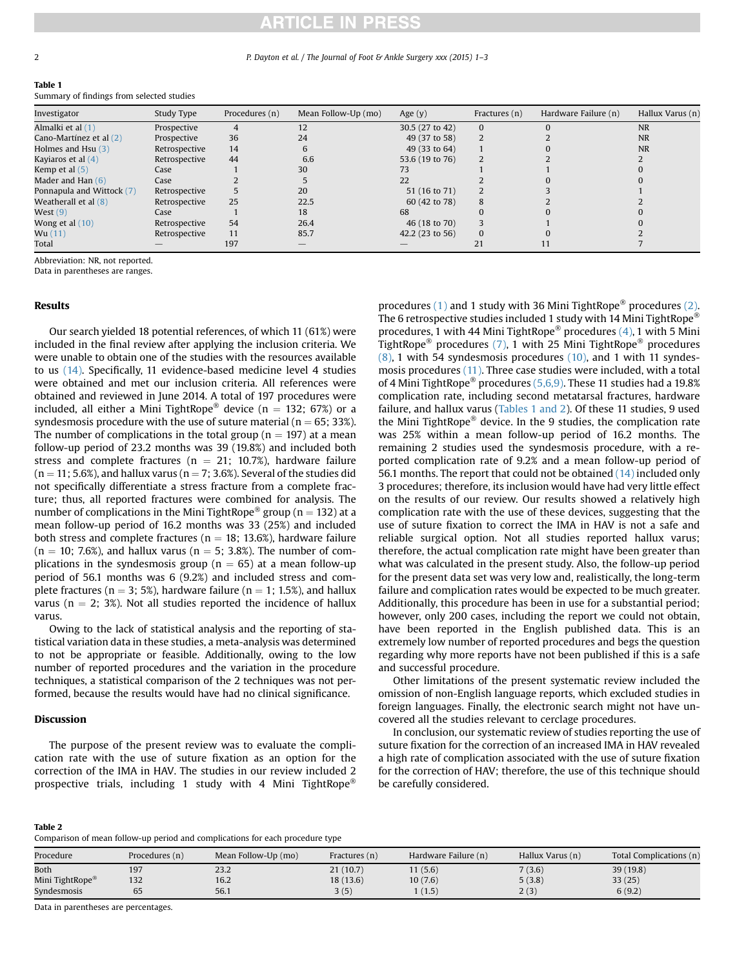# **RTICLE IN PRESS**

#### 2 P. Dayton et al. / The Journal of Foot & Ankle Surgery xxx (2015) 1–3

#### Table 1

Summary of findings from selected studies

| Investigator              | Study Type    | Procedures (n) | Mean Follow-Up (mo) | Age $(y)$       | Fractures (n) | Hardware Failure (n) | Hallux Varus (n) |
|---------------------------|---------------|----------------|---------------------|-----------------|---------------|----------------------|------------------|
| Almalki et al (1)         | Prospective   |                | 12                  | 30.5 (27 to 42) |               |                      | <b>NR</b>        |
| Cano-Martínez et al (2)   | Prospective   | 36             | 24                  | 49 (37 to 58)   |               |                      | <b>NR</b>        |
| Holmes and Hsu $(3)$      | Retrospective | 14             |                     | 49 (33 to 64)   |               |                      | <b>NR</b>        |
| Kayiaros et al (4)        | Retrospective | 44             | 6.6                 | 53.6 (19 to 76) |               |                      |                  |
| Kemp et al $(5)$          | Case          |                | 30                  |                 |               |                      |                  |
| Mader and Han $(6)$       | Case          |                |                     | 22              |               |                      |                  |
| Ponnapula and Wittock (7) | Retrospective |                | 20                  | 51 (16 to 71)   |               |                      |                  |
| Weatherall et al $(8)$    | Retrospective | 25             | 22.5                | 60 (42 to 78)   | 8             |                      |                  |
| West $(9)$                | Case          |                | 18                  | 68              |               |                      |                  |
| Wong et al $(10)$         | Retrospective | 54             | 26.4                | 46 (18 to 70)   |               |                      |                  |
| Wu(11)                    | Retrospective | 11             | 85.7                | 42.2(23 to 56)  |               |                      |                  |
| Total                     |               | 197            |                     |                 |               |                      |                  |

Abbreviation: NR, not reported.

Data in parentheses are ranges.

## Results

Our search yielded 18 potential references, of which 11 (61%) were included in the final review after applying the inclusion criteria. We were unable to obtain one of the studies with the resources available to us [\(14\)](#page-2-0). Specifically, 11 evidence-based medicine level 4 studies were obtained and met our inclusion criteria. All references were obtained and reviewed in June 2014. A total of 197 procedures were included, all either a Mini TightRope<sup>®</sup> device ( $n = 132$ ; 67%) or a syndesmosis procedure with the use of suture material ( $n = 65$ ; 33%). The number of complications in the total group ( $n = 197$ ) at a mean follow-up period of 23.2 months was 39 (19.8%) and included both stress and complete fractures ( $n = 21$ ; 10.7%), hardware failure  $(n = 11; 5.6%)$ , and hallux varus  $(n = 7; 3.6%)$ . Several of the studies did not specifically differentiate a stress fracture from a complete fracture; thus, all reported fractures were combined for analysis. The number of complications in the Mini TightRope<sup>®</sup> group (n = 132) at a mean follow-up period of 16.2 months was 33 (25%) and included both stress and complete fractures ( $n = 18$ ; 13.6%), hardware failure  $(n = 10; 7.6%)$ , and hallux varus  $(n = 5; 3.8%)$ . The number of complications in the syndesmosis group ( $n = 65$ ) at a mean follow-up period of 56.1 months was 6 (9.2%) and included stress and complete fractures ( $n = 3$ ; 5%), hardware failure ( $n = 1$ ; 1.5%), and hallux varus ( $n = 2$ ; 3%). Not all studies reported the incidence of hallux varus.

Owing to the lack of statistical analysis and the reporting of statistical variation data in these studies, a meta-analysis was determined to not be appropriate or feasible. Additionally, owing to the low number of reported procedures and the variation in the procedure techniques, a statistical comparison of the 2 techniques was not performed, because the results would have had no clinical significance.

# **Discussion**

 $\overline{a}$   $\overline{a}$   $\overline{a}$ 

The purpose of the present review was to evaluate the complication rate with the use of suture fixation as an option for the correction of the IMA in HAV. The studies in our review included 2 prospective trials, including 1 study with 4 Mini TightRope<sup>®</sup>

procedures [\(1\)](#page-2-0) and 1 study with 36 Mini TightRope<sup>®</sup> procedures [\(2\)](#page-2-0). The 6 retrospective studies included 1 study with 14 Mini TightRope<sup>®</sup> procedures, 1 with 44 Mini TightRope<sup>®</sup> procedures [\(4\),](#page-2-0) 1 with 5 Mini TightRope<sup>®</sup> procedures [\(7\),](#page-2-0) 1 with 25 Mini TightRope<sup>®</sup> procedures  $(8)$ , 1 with 54 syndesmosis procedures  $(10)$ , and 1 with 11 syndesmosis procedures [\(11\).](#page-2-0) Three case studies were included, with a total of 4 Mini TightRope<sup>®</sup> procedures [\(5,6,9\).](#page-2-0) These 11 studies had a 19.8% complication rate, including second metatarsal fractures, hardware failure, and hallux varus (Tables 1 and 2). Of these 11 studies, 9 used the Mini TightRope® device. In the 9 studies, the complication rate was 25% within a mean follow-up period of 16.2 months. The remaining 2 studies used the syndesmosis procedure, with a reported complication rate of 9.2% and a mean follow-up period of 56.1 months. The report that could not be obtained [\(14\)](#page-2-0) included only 3 procedures; therefore, its inclusion would have had very little effect on the results of our review. Our results showed a relatively high complication rate with the use of these devices, suggesting that the use of suture fixation to correct the IMA in HAV is not a safe and reliable surgical option. Not all studies reported hallux varus; therefore, the actual complication rate might have been greater than what was calculated in the present study. Also, the follow-up period for the present data set was very low and, realistically, the long-term failure and complication rates would be expected to be much greater. Additionally, this procedure has been in use for a substantial period; however, only 200 cases, including the report we could not obtain, have been reported in the English published data. This is an extremely low number of reported procedures and begs the question regarding why more reports have not been published if this is a safe and successful procedure.

Other limitations of the present systematic review included the omission of non-English language reports, which excluded studies in foreign languages. Finally, the electronic search might not have uncovered all the studies relevant to cerclage procedures.

In conclusion, our systematic review of studies reporting the use of suture fixation for the correction of an increased IMA in HAV revealed a high rate of complication associated with the use of suture fixation for the correction of HAV; therefore, the use of this technique should be carefully considered.

| Table 2                                                                       |  |
|-------------------------------------------------------------------------------|--|
| Comparison of mean follow-up period and complications for each procedure type |  |

| Procedure                   | Procedures (n) | Mean Follow-Up (mo) | Fractures (n) | Hardware Failure (n) | Hallux Varus (n) | Total Complications (n) |
|-----------------------------|----------------|---------------------|---------------|----------------------|------------------|-------------------------|
| Both                        | 197            | 23.2                | 21 (10.7)     | 11(5.6)              | 7(3.6)           | 39(19.8)                |
| Mini TightRope <sup>®</sup> | 132            | 16.2                | 18 (13.6)     | 10(7.6)              | 5(3.8)           | 33(25)                  |
| Syndesmosis                 | ხ5             | 56.1                | 3(5)          | 1(1.5)               | 2(3)             | 6(9.2)                  |

Data in parentheses are percentages.